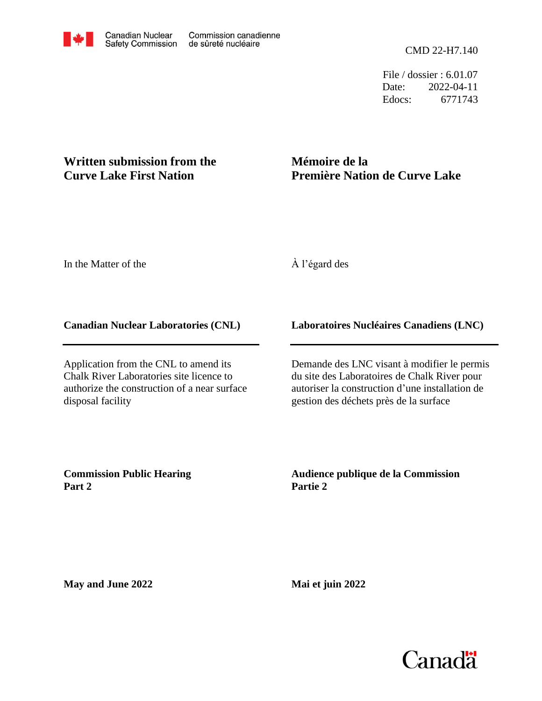File / dossier : 6.01.07 Date: 2022-04-11 Edocs: 6771743

# **Written submission from the Curve Lake First Nation**

# **Mémoire de la Première Nation de Curve Lake**

In the Matter of the

## À l'égard des

## **Canadian Nuclear Laboratories (CNL)**

Application from the CNL to amend its Chalk River Laboratories site licence to authorize the construction of a near surface disposal facility

## **Laboratoires Nucléaires Canadiens (LNC)**

Demande des LNC visant à modifier le permis du site des Laboratoires de Chalk River pour autoriser la construction d'une installation de gestion des déchets près de la surface

**Commission Public Hearing Part 2**

**Audience publique de la Commission Partie 2**

**May and June 2022**

**Mai et juin 2022**

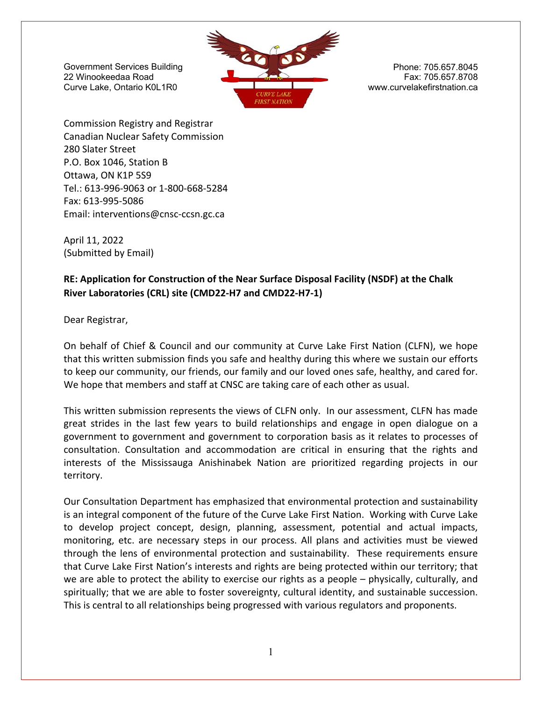

Commission Registry and Registrar Canadian Nuclear Safety Commission 280 Slater Street P.O. Box 1046, Station B Ottawa, ON K1P 5S9 Tel.: 613‐996‐9063 or 1‐800‐668‐5284 Fax: 613‐995‐5086 Email: interventions@cnsc‐ccsn.gc.ca

April 11, 2022 (Submitted by Email)

## **RE: Application for Construction of the Near Surface Disposal Facility (NSDF) at the Chalk River Laboratories (CRL) site (CMD22‐H7 and CMD22‐H7‐1)**

Dear Registrar,

On behalf of Chief & Council and our community at Curve Lake First Nation (CLFN), we hope that this written submission finds you safe and healthy during this where we sustain our efforts to keep our community, our friends, our family and our loved ones safe, healthy, and cared for. We hope that members and staff at CNSC are taking care of each other as usual.

This written submission represents the views of CLFN only. In our assessment, CLFN has made great strides in the last few years to build relationships and engage in open dialogue on a government to government and government to corporation basis as it relates to processes of consultation. Consultation and accommodation are critical in ensuring that the rights and interests of the Mississauga Anishinabek Nation are prioritized regarding projects in our territory.

Our Consultation Department has emphasized that environmental protection and sustainability is an integral component of the future of the Curve Lake First Nation. Working with Curve Lake to develop project concept, design, planning, assessment, potential and actual impacts, monitoring, etc. are necessary steps in our process. All plans and activities must be viewed through the lens of environmental protection and sustainability. These requirements ensure that Curve Lake First Nation's interests and rights are being protected within our territory; that we are able to protect the ability to exercise our rights as a people – physically, culturally, and spiritually; that we are able to foster sovereignty, cultural identity, and sustainable succession. This is central to all relationships being progressed with various regulators and proponents.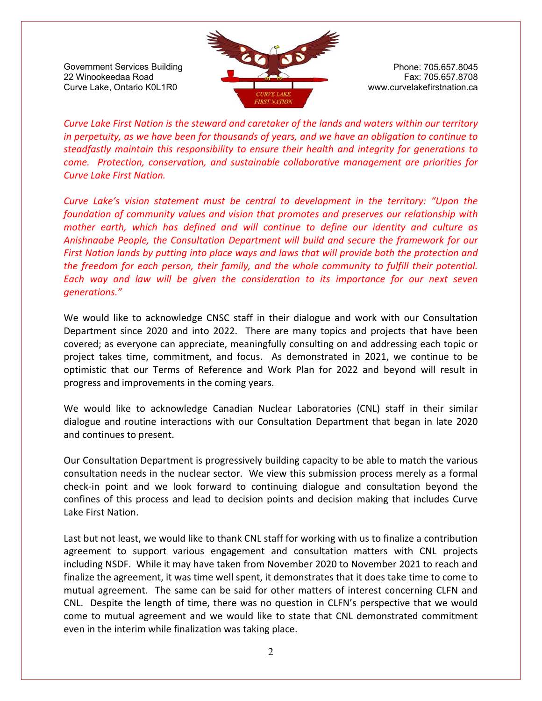

*Curve Lake First Nation is the steward and caretaker of the lands and waters within our territory in perpetuity, as we have been for thousands of years, and we have an obligation to continue to steadfastly maintain this responsibility to ensure their health and integrity for generations to come. Protection, conservation, and sustainable collaborative management are priorities for Curve Lake First Nation.* 

*Curve Lake's vision statement must be central to development in the territory: "Upon the foundation of community values and vision that promotes and preserves our relationship with mother earth, which has defined and will continue to define our identity and culture as Anishnaabe People, the Consultation Department will build and secure the framework for our First Nation lands by putting into place ways and laws that will provide both the protection and the freedom for each person, their family, and the whole community to fulfill their potential. Each way and law will be given the consideration to its importance for our next seven generations."* 

We would like to acknowledge CNSC staff in their dialogue and work with our Consultation Department since 2020 and into 2022. There are many topics and projects that have been covered; as everyone can appreciate, meaningfully consulting on and addressing each topic or project takes time, commitment, and focus. As demonstrated in 2021, we continue to be optimistic that our Terms of Reference and Work Plan for 2022 and beyond will result in progress and improvements in the coming years.

We would like to acknowledge Canadian Nuclear Laboratories (CNL) staff in their similar dialogue and routine interactions with our Consultation Department that began in late 2020 and continues to present.

Our Consultation Department is progressively building capacity to be able to match the various consultation needs in the nuclear sector. We view this submission process merely as a formal check‐in point and we look forward to continuing dialogue and consultation beyond the confines of this process and lead to decision points and decision making that includes Curve Lake First Nation.

Last but not least, we would like to thank CNL staff for working with us to finalize a contribution agreement to support various engagement and consultation matters with CNL projects including NSDF. While it may have taken from November 2020 to November 2021 to reach and finalize the agreement, it was time well spent, it demonstrates that it does take time to come to mutual agreement. The same can be said for other matters of interest concerning CLFN and CNL. Despite the length of time, there was no question in CLFN's perspective that we would come to mutual agreement and we would like to state that CNL demonstrated commitment even in the interim while finalization was taking place.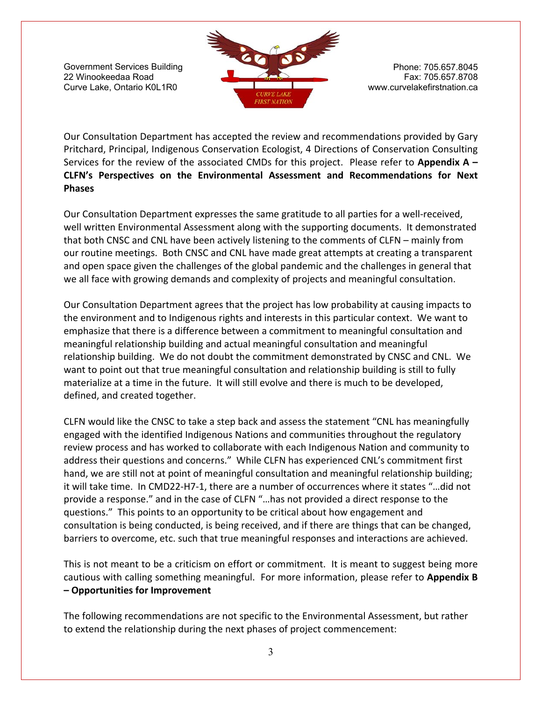

Our Consultation Department has accepted the review and recommendations provided by Gary Pritchard, Principal, Indigenous Conservation Ecologist, 4 Directions of Conservation Consulting Services for the review of the associated CMDs for this project. Please refer to **Appendix A – CLFN's Perspectives on the Environmental Assessment and Recommendations for Next Phases** 

Our Consultation Department expresses the same gratitude to all parties for a well-received, well written Environmental Assessment along with the supporting documents. It demonstrated that both CNSC and CNL have been actively listening to the comments of CLFN – mainly from our routine meetings. Both CNSC and CNL have made great attempts at creating a transparent and open space given the challenges of the global pandemic and the challenges in general that we all face with growing demands and complexity of projects and meaningful consultation.

Our Consultation Department agrees that the project has low probability at causing impacts to the environment and to Indigenous rights and interests in this particular context. We want to emphasize that there is a difference between a commitment to meaningful consultation and meaningful relationship building and actual meaningful consultation and meaningful relationship building. We do not doubt the commitment demonstrated by CNSC and CNL. We want to point out that true meaningful consultation and relationship building is still to fully materialize at a time in the future. It will still evolve and there is much to be developed, defined, and created together.

CLFN would like the CNSC to take a step back and assess the statement "CNL has meaningfully engaged with the identified Indigenous Nations and communities throughout the regulatory review process and has worked to collaborate with each Indigenous Nation and community to address their questions and concerns." While CLFN has experienced CNL's commitment first hand, we are still not at point of meaningful consultation and meaningful relationship building; it will take time. In CMD22‐H7‐1, there are a number of occurrences where it states "…did not provide a response." and in the case of CLFN "…has not provided a direct response to the questions." This points to an opportunity to be critical about how engagement and consultation is being conducted, is being received, and if there are things that can be changed, barriers to overcome, etc. such that true meaningful responses and interactions are achieved.

This is not meant to be a criticism on effort or commitment. It is meant to suggest being more cautious with calling something meaningful. For more information, please refer to **Appendix B – Opportunities for Improvement** 

The following recommendations are not specific to the Environmental Assessment, but rather to extend the relationship during the next phases of project commencement: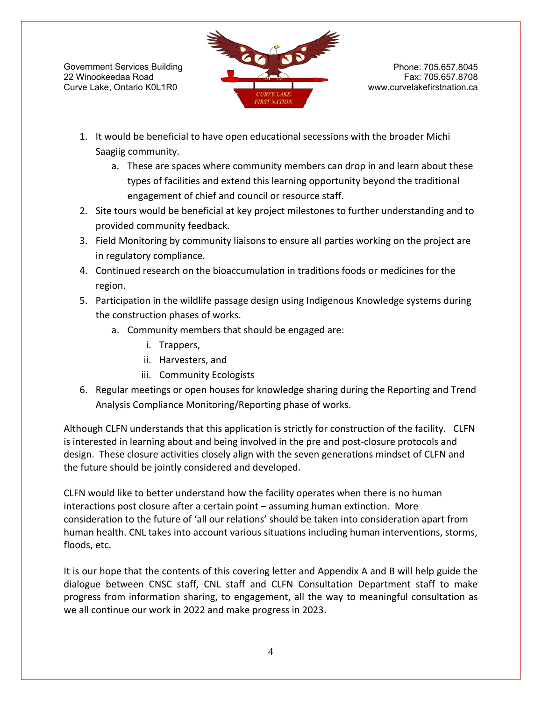

- 1. It would be beneficial to have open educational secessions with the broader Michi Saagiig community.
	- a. These are spaces where community members can drop in and learn about these types of facilities and extend this learning opportunity beyond the traditional engagement of chief and council or resource staff.
- 2. Site tours would be beneficial at key project milestones to further understanding and to provided community feedback.
- 3. Field Monitoring by community liaisons to ensure all parties working on the project are in regulatory compliance.
- 4. Continued research on the bioaccumulation in traditions foods or medicines for the region.
- 5. Participation in the wildlife passage design using Indigenous Knowledge systems during the construction phases of works.
	- a. Community members that should be engaged are:
		- i. Trappers,
		- ii. Harvesters, and
		- iii. Community Ecologists
- 6. Regular meetings or open houses for knowledge sharing during the Reporting and Trend Analysis Compliance Monitoring/Reporting phase of works.

Although CLFN understands that this application is strictly for construction of the facility. CLFN is interested in learning about and being involved in the pre and post-closure protocols and design. These closure activities closely align with the seven generations mindset of CLFN and the future should be jointly considered and developed.

CLFN would like to better understand how the facility operates when there is no human interactions post closure after a certain point – assuming human extinction. More consideration to the future of 'all our relations' should be taken into consideration apart from human health. CNL takes into account various situations including human interventions, storms, floods, etc.

It is our hope that the contents of this covering letter and Appendix A and B will help guide the dialogue between CNSC staff, CNL staff and CLFN Consultation Department staff to make progress from information sharing, to engagement, all the way to meaningful consultation as we all continue our work in 2022 and make progress in 2023.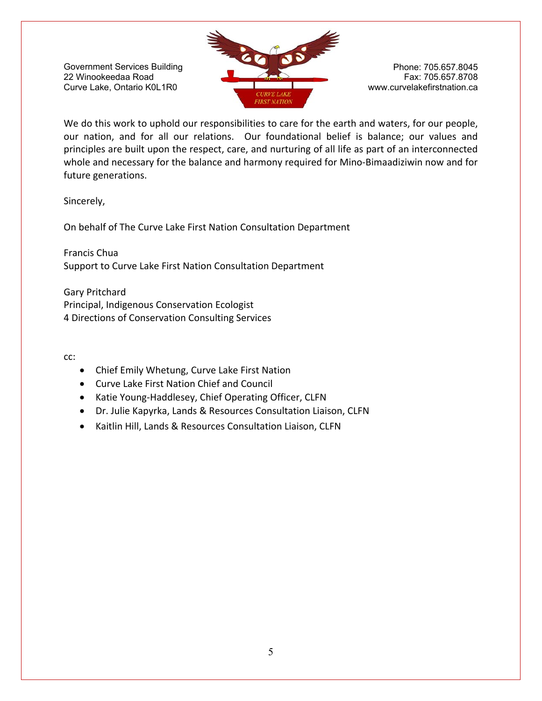

We do this work to uphold our responsibilities to care for the earth and waters, for our people, our nation, and for all our relations. Our foundational belief is balance; our values and principles are built upon the respect, care, and nurturing of all life as part of an interconnected whole and necessary for the balance and harmony required for Mino‐Bimaadiziwin now and for future generations.

Sincerely,

On behalf of The Curve Lake First Nation Consultation Department

Francis Chua Support to Curve Lake First Nation Consultation Department

Gary Pritchard Principal, Indigenous Conservation Ecologist 4 Directions of Conservation Consulting Services

cc:

- Chief Emily Whetung, Curve Lake First Nation
- Curve Lake First Nation Chief and Council
- Katie Young-Haddlesey, Chief Operating Officer, CLFN
- Dr. Julie Kapyrka, Lands & Resources Consultation Liaison, CLFN
- Kaitlin Hill, Lands & Resources Consultation Liaison, CLFN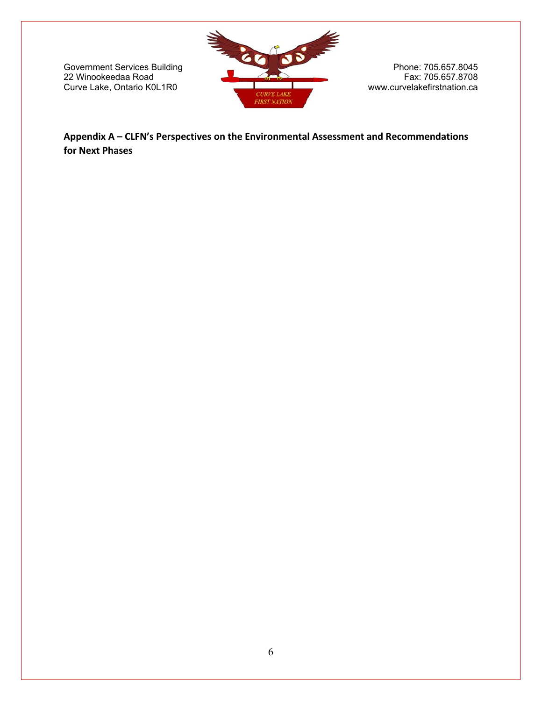

**Appendix A – CLFN's Perspectives on the Environmental Assessment and Recommendations for Next Phases**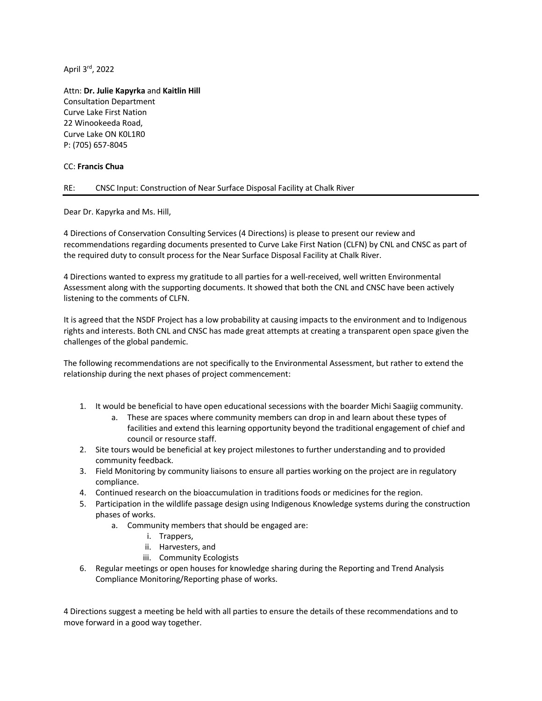April 3rd, 2022

Attn: **Dr. Julie Kapyrka** and **Kaitlin Hill** Consultation Department Curve Lake First Nation 22 Winookeeda Road, Curve Lake ON K0L1R0 P: (705) 657-8045

#### CC: **Francis Chua**

#### RE: CNSC Input: Construction of Near Surface Disposal Facility at Chalk River

Dear Dr. Kapyrka and Ms. Hill,

4 Directions of Conservation Consulting Services (4 Directions) is please to present our review and recommendations regarding documents presented to Curve Lake First Nation (CLFN) by CNL and CNSC as part of the required duty to consult process for the Near Surface Disposal Facility at Chalk River.

4 Directions wanted to express my gratitude to all parties for a well-received, well written Environmental Assessment along with the supporting documents. It showed that both the CNL and CNSC have been actively listening to the comments of CLFN.

It is agreed that the NSDF Project has a low probability at causing impacts to the environment and to Indigenous rights and interests. Both CNL and CNSC has made great attempts at creating a transparent open space given the challenges of the global pandemic.

The following recommendations are not specifically to the Environmental Assessment, but rather to extend the relationship during the next phases of project commencement:

- 1. It would be beneficial to have open educational secessions with the boarder Michi Saagiig community.
	- a. These are spaces where community members can drop in and learn about these types of facilities and extend this learning opportunity beyond the traditional engagement of chief and council or resource staff.
- 2. Site tours would be beneficial at key project milestones to further understanding and to provided community feedback.
- 3. Field Monitoring by community liaisons to ensure all parties working on the project are in regulatory compliance.
- 4. Continued research on the bioaccumulation in traditions foods or medicines for the region.
- 5. Participation in the wildlife passage design using Indigenous Knowledge systems during the construction phases of works.
	- a. Community members that should be engaged are:
		- i. Trappers,
		- ii. Harvesters, and
		- iii. Community Ecologists
- 6. Regular meetings or open houses for knowledge sharing during the Reporting and Trend Analysis Compliance Monitoring/Reporting phase of works.

4 Directions suggest a meeting be held with all parties to ensure the details of these recommendations and to move forward in a good way together.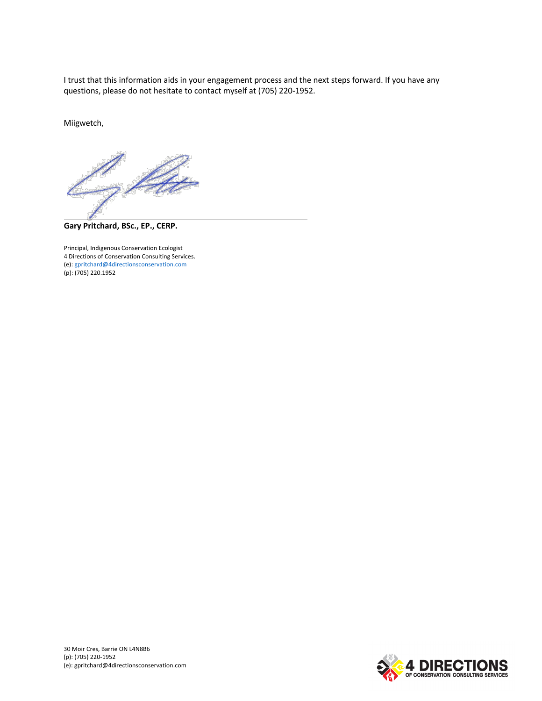I trust that this information aids in your engagement process and the next steps forward. If you have any questions, please do not hesitate to contact myself at (705) 220-1952.

Miigwetch,



**Gary Pritchard, BSc., EP., CERP.**

Principal, Indigenous Conservation Ecologist 4 Directions of Conservation Consulting Services. (e): gpritchard@4directionsconservation.com (p): (705) 220.1952

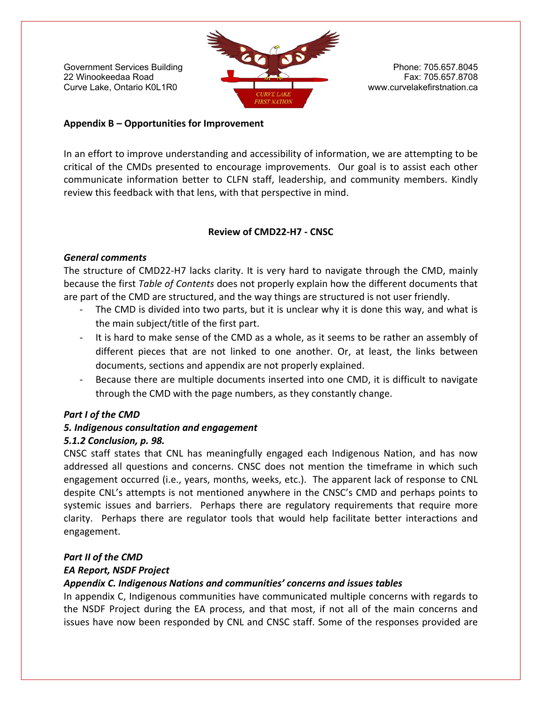

#### **Appendix B – Opportunities for Improvement**

In an effort to improve understanding and accessibility of information, we are attempting to be critical of the CMDs presented to encourage improvements. Our goal is to assist each other communicate information better to CLFN staff, leadership, and community members. Kindly review this feedback with that lens, with that perspective in mind.

#### **Review of CMD22‐H7 ‐ CNSC**

#### *General comments*

The structure of CMD22-H7 lacks clarity. It is very hard to navigate through the CMD, mainly because the first *Table of Contents* does not properly explain how the different documents that are part of the CMD are structured, and the way things are structured is not user friendly.

- The CMD is divided into two parts, but it is unclear why it is done this way, and what is the main subject/title of the first part.
- It is hard to make sense of the CMD as a whole, as it seems to be rather an assembly of different pieces that are not linked to one another. Or, at least, the links between documents, sections and appendix are not properly explained.
- ‐ Because there are multiple documents inserted into one CMD, it is difficult to navigate through the CMD with the page numbers, as they constantly change.

### *Part I of the CMD*

### *5. Indigenous consultation and engagement*

### *5.1.2 Conclusion, p. 98.*

CNSC staff states that CNL has meaningfully engaged each Indigenous Nation, and has now addressed all questions and concerns. CNSC does not mention the timeframe in which such engagement occurred (i.e., years, months, weeks, etc.). The apparent lack of response to CNL despite CNL's attempts is not mentioned anywhere in the CNSC's CMD and perhaps points to systemic issues and barriers. Perhaps there are regulatory requirements that require more clarity. Perhaps there are regulator tools that would help facilitate better interactions and engagement.

## *Part II of the CMD*

### *EA Report, NSDF Project*

## *Appendix C. Indigenous Nations and communities' concerns and issues tables*

In appendix C, Indigenous communities have communicated multiple concerns with regards to the NSDF Project during the EA process, and that most, if not all of the main concerns and issues have now been responded by CNL and CNSC staff. Some of the responses provided are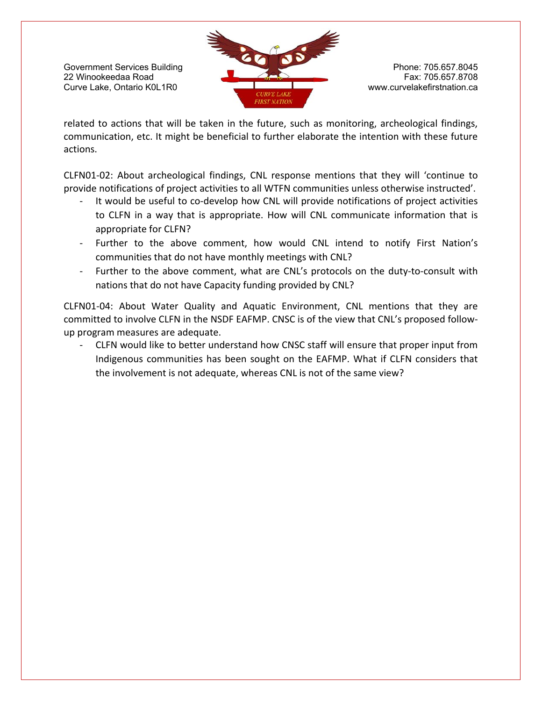

related to actions that will be taken in the future, such as monitoring, archeological findings, communication, etc. It might be beneficial to further elaborate the intention with these future actions.

CLFN01‐02: About archeological findings, CNL response mentions that they will 'continue to provide notifications of project activities to all WTFN communities unless otherwise instructed'.

- It would be useful to co-develop how CNL will provide notifications of project activities to CLFN in a way that is appropriate. How will CNL communicate information that is appropriate for CLFN?
- ‐ Further to the above comment, how would CNL intend to notify First Nation's communities that do not have monthly meetings with CNL?
- Further to the above comment, what are CNL's protocols on the duty-to-consult with nations that do not have Capacity funding provided by CNL?

CLFN01‐04: About Water Quality and Aquatic Environment, CNL mentions that they are committed to involve CLFN in the NSDF EAFMP. CNSC is of the view that CNL's proposed follow‐ up program measures are adequate.

‐ CLFN would like to better understand how CNSC staff will ensure that proper input from Indigenous communities has been sought on the EAFMP. What if CLFN considers that the involvement is not adequate, whereas CNL is not of the same view?